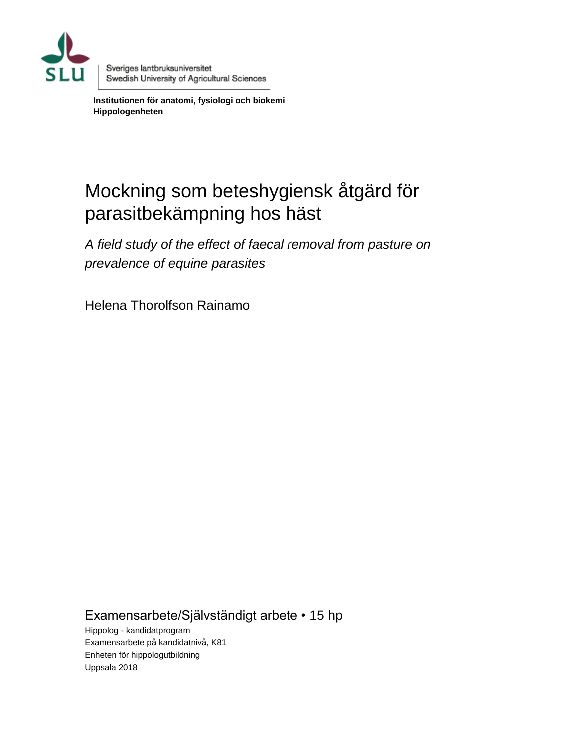

Sveriges lantbruksuniversitet Swedish University of Agricultural Sciences

**Institutionen för anatomi, fysiologi och biokemi Hippologenheten**

# Mockning som beteshygiensk åtgärd för parasitbekämpning hos häst

*A field study of the effect of faecal removal from pasture on prevalence of equine parasites*

Helena Thorolfson Rainamo

Examensarbete/Självständigt arbete • 15 hp

Hippolog - kandidatprogram Examensarbete på kandidatnivå, K81 Enheten för hippologutbildning Uppsala 2018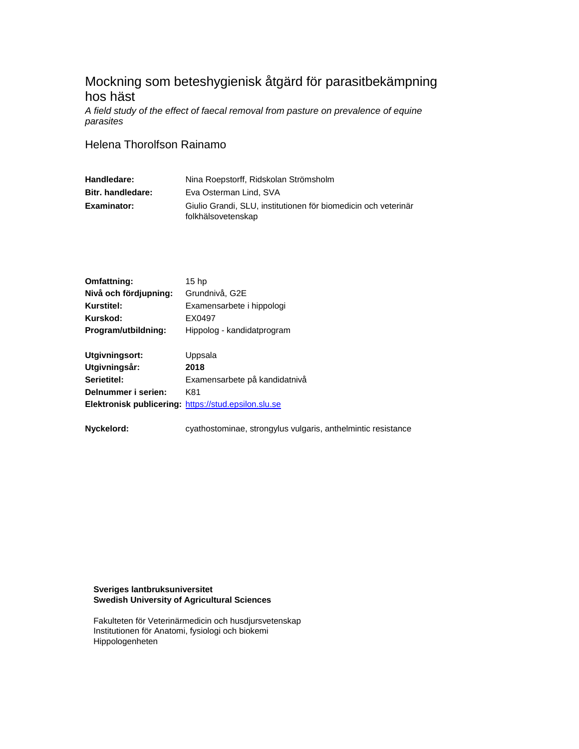## Mockning som beteshygienisk åtgärd för parasitbekämpning hos häst

*A field study of the effect of faecal removal from pasture on prevalence of equine parasites*

#### Helena Thorolfson Rainamo

| Handledare:        | Nina Roepstorff, Ridskolan Strömsholm                                                |
|--------------------|--------------------------------------------------------------------------------------|
| Bitr. handledare:  | Eva Osterman Lind, SVA                                                               |
| <b>Examinator:</b> | Giulio Grandi, SLU, institutionen för biomedicin och veterinär<br>folkhälsovetenskap |

| 15 hp                                                |
|------------------------------------------------------|
| Grundnivå, G2E                                       |
| Examensarbete i hippologi                            |
| EX0497                                               |
| Hippolog - kandidatprogram                           |
| Uppsala                                              |
| 2018                                                 |
| Examensarbete på kandidatnivå                        |
| K81                                                  |
| Elektronisk publicering: https://stud.epsilon.slu.se |
|                                                      |

**Nyckelord:** cyathostominae, strongylus vulgaris, anthelmintic resistance

#### **Sveriges lantbruksuniversitet Swedish University of Agricultural Sciences**

Fakulteten för Veterinärmedicin och husdjursvetenskap Institutionen för Anatomi, fysiologi och biokemi Hippologenheten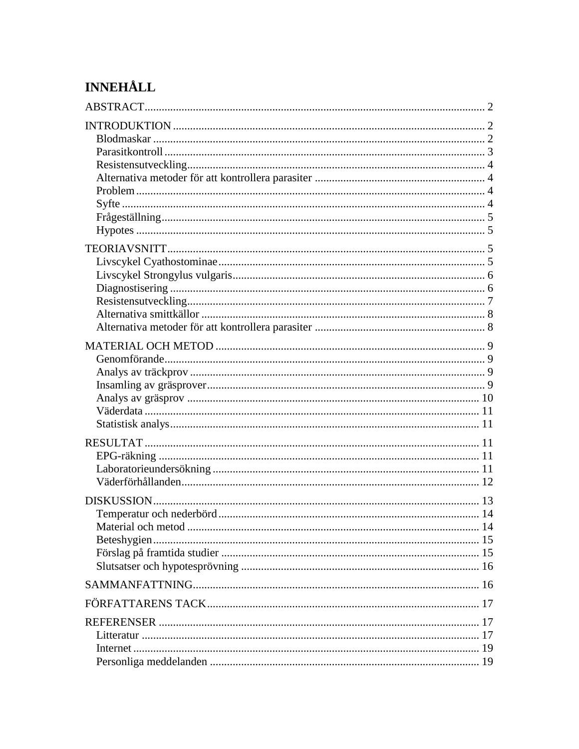# **INNEHÅLL**

| Beteshygien. |  |
|--------------|--|
|              |  |
|              |  |
|              |  |
|              |  |
|              |  |
|              |  |
|              |  |
|              |  |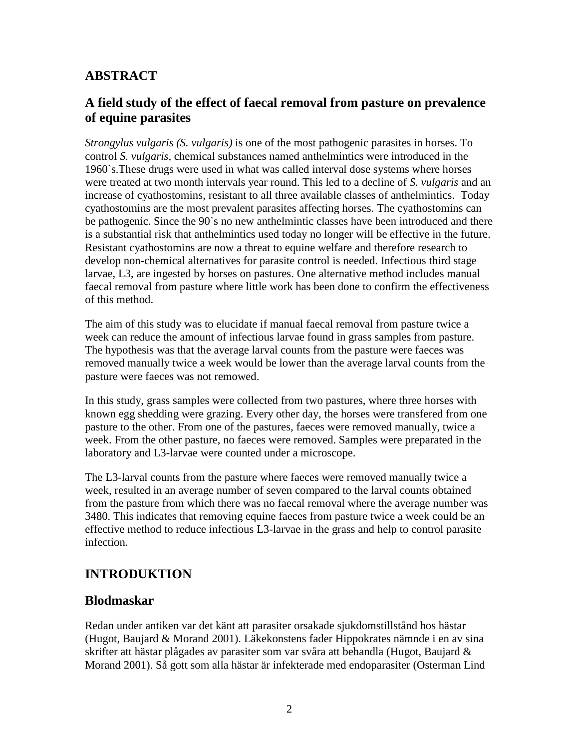## <span id="page-3-0"></span>**ABSTRACT**

#### **A field study of the effect of faecal removal from pasture on prevalence of equine parasites**

*Strongylus vulgaris (S. vulgaris)* is one of the most pathogenic parasites in horses. To control *S. vulgaris,* chemical substances named anthelmintics were introduced in the 1960`s.These drugs were used in what was called interval dose systems where horses were treated at two month intervals year round. This led to a decline of *S. vulgaris* and an increase of cyathostomins, resistant to all three available classes of anthelmintics. Today cyathostomins are the most prevalent parasites affecting horses. The cyathostomins can be pathogenic. Since the 90`s no new anthelmintic classes have been introduced and there is a substantial risk that anthelmintics used today no longer will be effective in the future. Resistant cyathostomins are now a threat to equine welfare and therefore research to develop non-chemical alternatives for parasite control is needed. Infectious third stage larvae, L3, are ingested by horses on pastures. One alternative method includes manual faecal removal from pasture where little work has been done to confirm the effectiveness of this method.

The aim of this study was to elucidate if manual faecal removal from pasture twice a week can reduce the amount of infectious larvae found in grass samples from pasture. The hypothesis was that the average larval counts from the pasture were faeces was removed manually twice a week would be lower than the average larval counts from the pasture were faeces was not remowed.

In this study, grass samples were collected from two pastures, where three horses with known egg shedding were grazing. Every other day, the horses were transfered from one pasture to the other. From one of the pastures, faeces were removed manually, twice a week. From the other pasture, no faeces were removed. Samples were preparated in the laboratory and L3-larvae were counted under a microscope.

The L3-larval counts from the pasture where faeces were removed manually twice a week, resulted in an average number of seven compared to the larval counts obtained from the pasture from which there was no faecal removal where the average number was 3480. This indicates that removing equine faeces from pasture twice a week could be an effective method to reduce infectious L3-larvae in the grass and help to control parasite infection.

## <span id="page-3-1"></span>**INTRODUKTION**

#### <span id="page-3-2"></span>**Blodmaskar**

Redan under antiken var det känt att parasiter orsakade sjukdomstillstånd hos hästar (Hugot, Baujard & Morand 2001). Läkekonstens fader Hippokrates nämnde i en av sina skrifter att hästar plågades av parasiter som var svåra att behandla (Hugot, Baujard & Morand 2001). Så gott som alla hästar är infekterade med endoparasiter (Osterman Lind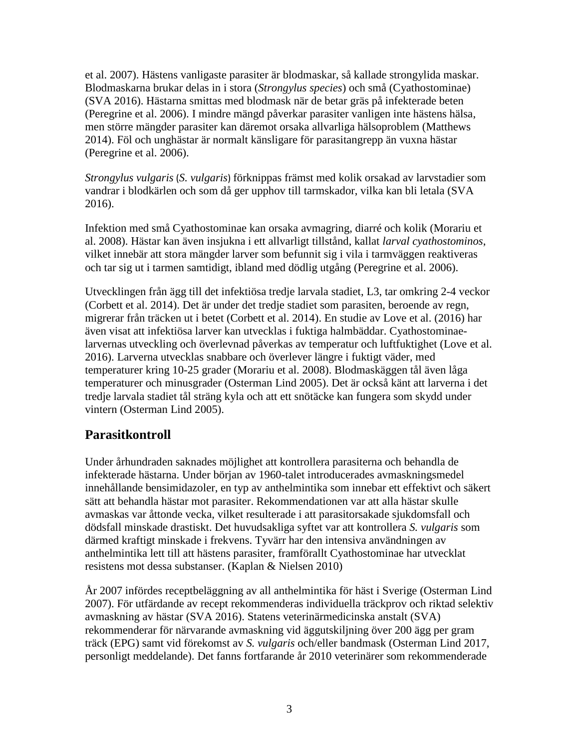et al. 2007). Hästens vanligaste parasiter är blodmaskar, så kallade strongylida maskar. Blodmaskarna brukar delas in i stora (*Strongylus species*) och små (Cyathostominae) (SVA 2016). Hästarna smittas med blodmask när de betar gräs på infekterade beten (Peregrine et al. 2006). I mindre mängd påverkar parasiter vanligen inte hästens hälsa, men större mängder parasiter kan däremot orsaka allvarliga hälsoproblem (Matthews 2014). Föl och unghästar är normalt känsligare för parasitangrepp än vuxna hästar (Peregrine et al. 2006).

*Strongylus vulgaris* (*S. vulgaris*) förknippas främst med kolik orsakad av larvstadier som vandrar i blodkärlen och som då ger upphov till tarmskador, vilka kan bli letala (SVA 2016).

Infektion med små Cyathostominae kan orsaka avmagring, diarré och kolik (Morariu et al. 2008). Hästar kan även insjukna i ett allvarligt tillstånd, kallat *larval cyathostominos*, vilket innebär att stora mängder larver som befunnit sig i vila i tarmväggen reaktiveras och tar sig ut i tarmen samtidigt, ibland med dödlig utgång (Peregrine et al. 2006).

Utvecklingen från ägg till det infektiösa tredje larvala stadiet, L3, tar omkring 2-4 veckor (Corbett et al. 2014). Det är under det tredje stadiet som parasiten, beroende av regn, migrerar från träcken ut i betet (Corbett et al. 2014). En studie av Love et al. (2016) har även visat att infektiösa larver kan utvecklas i fuktiga halmbäddar. Cyathostominaelarvernas utveckling och överlevnad påverkas av temperatur och luftfuktighet (Love et al. 2016). Larverna utvecklas snabbare och överlever längre i fuktigt väder, med temperaturer kring 10-25 grader (Morariu et al. 2008). Blodmaskäggen tål även låga temperaturer och minusgrader (Osterman Lind 2005). Det är också känt att larverna i det tredje larvala stadiet tål sträng kyla och att ett snötäcke kan fungera som skydd under vintern (Osterman Lind 2005).

#### <span id="page-4-0"></span>**Parasitkontroll**

Under århundraden saknades möjlighet att kontrollera parasiterna och behandla de infekterade hästarna. Under början av 1960-talet introducerades avmaskningsmedel innehållande bensimidazoler, en typ av anthelmintika som innebar ett effektivt och säkert sätt att behandla hästar mot parasiter. Rekommendationen var att alla hästar skulle avmaskas var åttonde vecka, vilket resulterade i att parasitorsakade sjukdomsfall och dödsfall minskade drastiskt. Det huvudsakliga syftet var att kontrollera *S. vulgaris* som därmed kraftigt minskade i frekvens. Tyvärr har den intensiva användningen av anthelmintika lett till att hästens parasiter, framförallt Cyathostominae har utvecklat resistens mot dessa substanser. (Kaplan & Nielsen 2010)

År 2007 infördes receptbeläggning av all anthelmintika för häst i Sverige (Osterman Lind 2007). För utfärdande av recept rekommenderas individuella träckprov och riktad selektiv avmaskning av hästar (SVA 2016). Statens veterinärmedicinska anstalt (SVA) rekommenderar för närvarande avmaskning vid äggutskiljning över 200 ägg per gram träck (EPG) samt vid förekomst av *S. vulgaris* och/eller bandmask (Osterman Lind 2017, personligt meddelande). Det fanns fortfarande år 2010 veterinärer som rekommenderade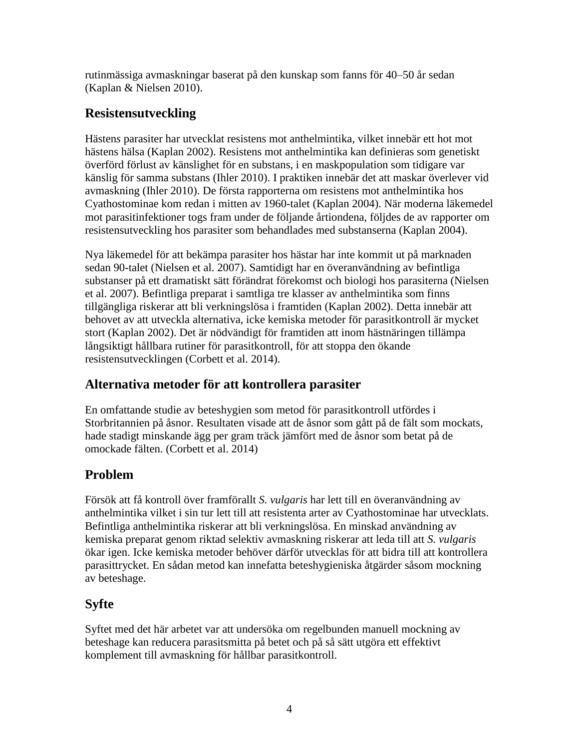rutinmässiga avmaskningar baserat på den kunskap som fanns för 40–50 år sedan (Kaplan & Nielsen 2010).

## <span id="page-5-0"></span>**Resistensutveckling**

Hästen*s* parasiter har utvecklat resistens mot anthelmintika, vilket innebär ett hot mot hästens hälsa (Kaplan 2002). Resistens mot anthelmintika kan definieras som genetiskt överförd förlust av känslighet för en substans, i en maskpopulation som tidigare var känslig för samma substans (Ihler 2010). I praktiken innebär det att maskar överlever vid avmaskning (Ihler 2010). De första rapporterna om resistens mot anthelmintika hos Cyathostominae kom redan i mitten av 1960-talet (Kaplan 2004). När moderna läkemedel mot parasitinfektioner togs fram under de följande årtiondena, följdes de av rapporter om resistensutveckling hos parasiter som behandlades med substanserna (Kaplan 2004).

Nya läkemedel för att bekämpa parasiter hos hästar har inte kommit ut på marknaden sedan 90-talet (Nielsen et al. 2007). Samtidigt har en överanvändning av befintliga substanser på ett dramatiskt sätt förändrat förekomst och biologi hos parasiterna (Nielsen et al. 2007). Befintliga preparat i samtliga tre klasser av anthelmintika som finns tillgängliga riskerar att bli verkningslösa i framtiden (Kaplan 2002). Detta innebär att behovet av att utveckla alternativa, icke kemiska metoder för parasitkontroll är mycket stort (Kaplan 2002). Det är nödvändigt för framtiden att inom hästnäringen tillämpa långsiktigt hållbara rutiner för parasitkontroll, för att stoppa den ökande resistensutvecklingen (Corbett et al. 2014).

## <span id="page-5-1"></span>**Alternativa metoder för att kontrollera parasiter**

En omfattande studie av beteshygien som metod för parasitkontroll utfördes i Storbritannien på åsnor. Resultaten visade att de åsnor som gått på de fält som mockats, hade stadigt minskande ägg per gram träck jämfört med de åsnor som betat på de omockade fälten. (Corbett et al. 2014)

## <span id="page-5-2"></span>**Problem**

Försök att få kontroll över framförallt *S. vulgaris* har lett till en överanvändning av anthelmintika vilket i sin tur lett till att resistenta arter av Cyathostominae har utvecklats. Befintliga anthelmintika riskerar att bli verkningslösa. En minskad användning av kemiska preparat genom riktad selektiv avmaskning riskerar att leda till att *S. vulgaris* ökar igen. Icke kemiska metoder behöver därför utvecklas för att bidra till att kontrollera parasittrycket. En sådan metod kan innefatta beteshygieniska åtgärder såsom mockning av beteshage.

# <span id="page-5-3"></span>**Syfte**

Syftet med det här arbetet var att undersöka om regelbunden manuell mockning av beteshage kan reducera parasitsmitta på betet och på så sätt utgöra ett effektivt komplement till avmaskning för hållbar parasitkontroll.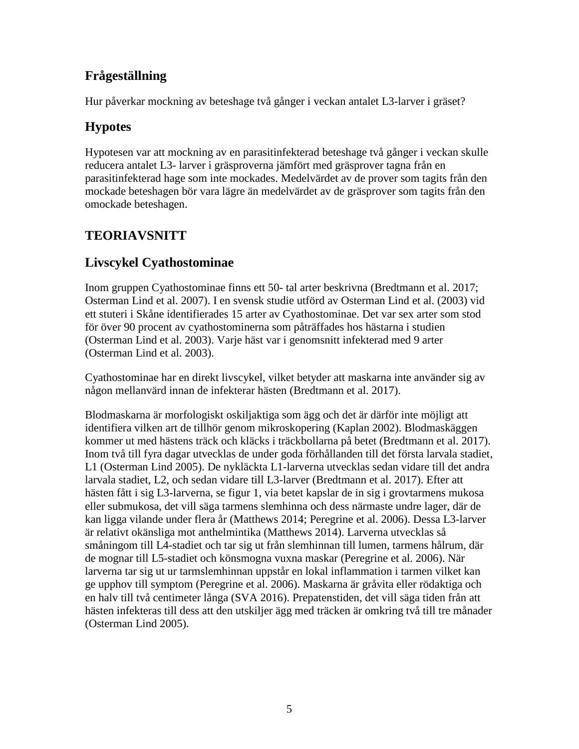## <span id="page-6-0"></span>**Frågeställning**

Hur påverkar mockning av beteshage två gånger i veckan antalet L3-larver i gräset?

## <span id="page-6-1"></span>**Hypotes**

Hypotesen var att mockning av en parasitinfekterad beteshage två gånger i veckan skulle reducera antalet L3- larver i gräsproverna jämfört med gräsprover tagna från en parasitinfekterad hage som inte mockades. Medelvärdet av de prover som tagits från den mockade beteshagen bör vara lägre än medelvärdet av de gräsprover som tagits från den omockade beteshagen.

# <span id="page-6-2"></span>**TEORIAVSNITT**

## <span id="page-6-3"></span>**Livscykel Cyathostominae**

Inom gruppen Cyathostominae finns ett 50- tal arter beskrivna (Bredtmann et al. 2017; Osterman Lind et al. 2007). I en svensk studie utförd av Osterman Lind et al. (2003) vid ett stuteri i Skåne identifierades 15 arter av Cyathostominae. Det var sex arter som stod för över 90 procent av cyathostominerna som påträffades hos hästarna i studien (Osterman Lind et al. 2003). Varje häst var i genomsnitt infekterad med 9 arter (Osterman Lind et al. 2003).

Cyathostominae har en direkt livscykel, vilket betyder att maskarna inte använder sig av någon mellanvärd innan de infekterar hästen (Bredtmann et al. 2017).

Blodmaskarna är morfologiskt oskiljaktiga som ägg och det är därför inte möjligt att identifiera vilken art de tillhör genom mikroskopering (Kaplan 2002). Blodmaskäggen kommer ut med hästens träck och kläcks i träckbollarna på betet (Bredtmann et al. 2017). Inom två till fyra dagar utvecklas de under goda förhållanden till det första larvala stadiet, L1 (Osterman Lind 2005). De nykläckta L1-larverna utvecklas sedan vidare till det andra larvala stadiet, L2, och sedan vidare till L3-larver (Bredtmann et al. 2017). Efter att hästen fått i sig L3-larverna, se figur 1, via betet kapslar de in sig i grovtarmens mukosa eller submukosa, det vill säga tarmens slemhinna och dess närmaste undre lager, där de kan ligga vilande under flera år (Matthews 2014; Peregrine et al. 2006). Dessa L3-larver är relativt okänsliga mot anthelmintika (Matthews 2014). Larverna utvecklas så småningom till L4-stadiet och tar sig ut från slemhinnan till lumen, tarmens hålrum, där de mognar till L5-stadiet och könsmogna vuxna maskar (Peregrine et al. 2006). När larverna tar sig ut ur tarmslemhinnan uppstår en lokal inflammation i tarmen vilket kan ge upphov till symptom (Peregrine et al. 2006). Maskarna är gråvita eller rödaktiga och en halv till två centimeter långa (SVA 2016). Prepatenstiden, det vill säga tiden från att hästen infekteras till dess att den utskiljer ägg med träcken är omkring två till tre månader (Osterman Lind 2005).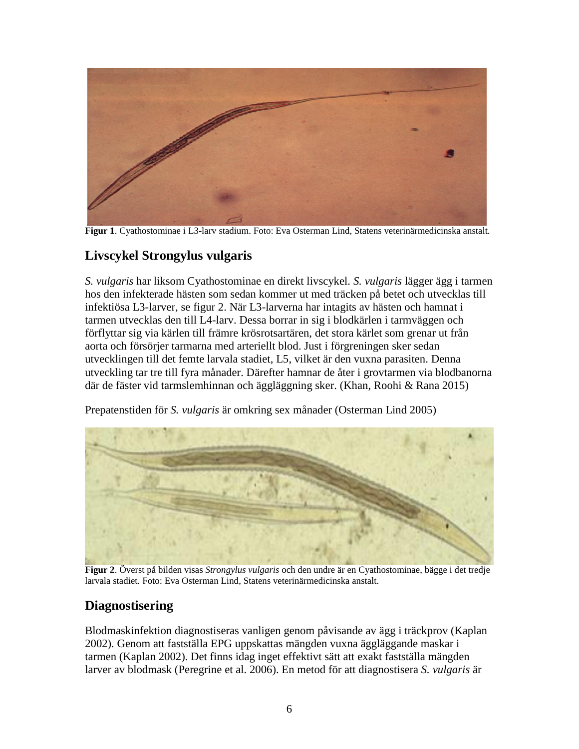

**Figur 1**. Cyathostominae i L3-larv stadium. Foto: Eva Osterman Lind, Statens veterinärmedicinska anstalt.

## <span id="page-7-0"></span>**Livscykel Strongylus vulgaris**

*S. vulgaris* har liksom Cyathostominae en direkt livscykel. *S. vulgaris* lägger ägg i tarmen hos den infekterade hästen som sedan kommer ut med träcken på betet och utvecklas till infektiösa L3-larver, se figur 2. När L3-larverna har intagits av hästen och hamnat i tarmen utvecklas den till L4-larv. Dessa borrar in sig i blodkärlen i tarmväggen och förflyttar sig via kärlen till främre krösrotsartären, det stora kärlet som grenar ut från aorta och försörjer tarmarna med arteriellt blod. Just i förgreningen sker sedan utvecklingen till det femte larvala stadiet, L5, vilket är den vuxna parasiten. Denna utveckling tar tre till fyra månader. Därefter hamnar de åter i grovtarmen via blodbanorna där de fäster vid tarmslemhinnan och äggläggning sker. (Khan, Roohi & Rana 2015)

Prepatenstiden för *S. vulgaris* är omkring sex månader (Osterman Lind 2005)



**Figur 2**. Överst på bilden visas *Strongylus vulgaris* och den undre är en Cyathostominae, bägge i det tredje larvala stadiet. Foto: Eva Osterman Lind, Statens veterinärmedicinska anstalt.

#### <span id="page-7-1"></span>**Diagnostisering**

Blodmaskinfektion diagnostiseras vanligen genom påvisande av ägg i träckprov (Kaplan 2002). Genom att fastställa EPG uppskattas mängden vuxna äggläggande maskar i tarmen (Kaplan 2002). Det finns idag inget effektivt sätt att exakt fastställa mängden larver av blodmask (Peregrine et al. 2006). En metod för att diagnostisera *S. vulgaris* är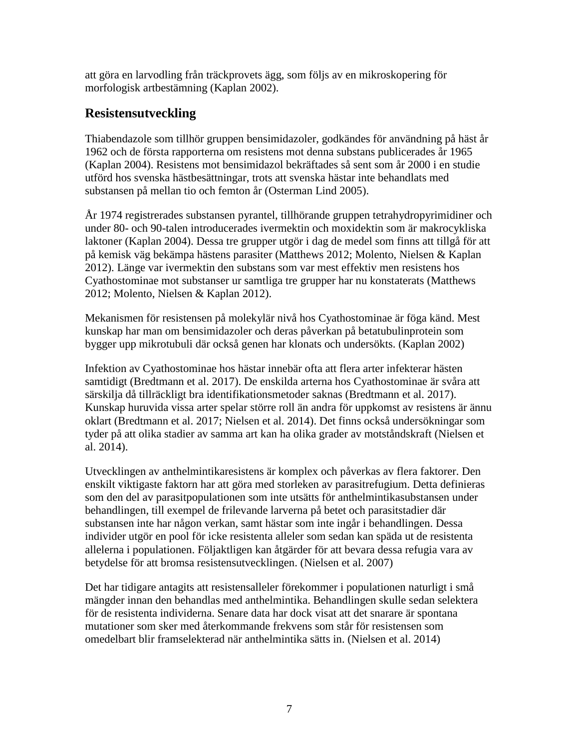att göra en larvodling från träckprovets ägg, som följs av en mikroskopering för morfologisk artbestämning (Kaplan 2002).

## <span id="page-8-0"></span>**Resistensutveckling**

Thiabendazole som tillhör gruppen bensimidazoler, godkändes för användning på häst år 1962 och de första rapporterna om resistens mot denna substans publicerades år 1965 (Kaplan 2004). Resistens mot bensimidazol bekräftades så sent som år 2000 i en studie utförd hos svenska hästbesättningar, trots att svenska hästar inte behandlats med substansen på mellan tio och femton år (Osterman Lind 2005).

År 1974 registrerades substansen pyrantel, tillhörande gruppen tetrahydropyrimidiner och under 80- och 90-talen introducerades ivermektin och moxidektin som är makrocykliska laktoner (Kaplan 2004). Dessa tre grupper utgör i dag de medel som finns att tillgå för att på kemisk väg bekämpa hästens parasiter (Matthews 2012; Molento, Nielsen & Kaplan 2012). Länge var ivermektin den substans som var mest effektiv men resistens hos Cyathostominae mot substanser ur samtliga tre grupper har nu konstaterats (Matthews 2012; Molento, Nielsen & Kaplan 2012).

Mekanismen för resistensen på molekylär nivå hos Cyathostominae är föga känd. Mest kunskap har man om bensimidazoler och deras påverkan på betatubulinprotein som bygger upp mikrotubuli där också genen har klonats och undersökts. (Kaplan 2002)

Infektion av Cyathostominae hos hästar innebär ofta att flera arter infekterar hästen samtidigt (Bredtmann et al. 2017). De enskilda arterna hos Cyathostominae är svåra att särskilja då tillräckligt bra identifikationsmetoder saknas (Bredtmann et al. 2017). Kunskap huruvida vissa arter spelar större roll än andra för uppkomst av resistens är ännu oklart (Bredtmann et al. 2017; Nielsen et al. 2014). Det finns också undersökningar som tyder på att olika stadier av samma art kan ha olika grader av motståndskraft (Nielsen et al. 2014).

Utvecklingen av anthelmintikaresistens är komplex och påverkas av flera faktorer. Den enskilt viktigaste faktorn har att göra med storleken av parasitrefugium. Detta definieras som den del av parasitpopulationen som inte utsätts för anthelmintikasubstansen under behandlingen, till exempel de frilevande larverna på betet och parasitstadier där substansen inte har någon verkan, samt hästar som inte ingår i behandlingen. Dessa individer utgör en pool för icke resistenta alleler som sedan kan späda ut de resistenta allelerna i populationen. Följaktligen kan åtgärder för att bevara dessa refugia vara av betydelse för att bromsa resistensutvecklingen. (Nielsen et al. 2007)

Det har tidigare antagits att resistensalleler förekommer i populationen naturligt i små mängder innan den behandlas med anthelmintika. Behandlingen skulle sedan selektera för de resistenta individerna. Senare data har dock visat att det snarare är spontana mutationer som sker med återkommande frekvens som står för resistensen som omedelbart blir framselekterad när anthelmintika sätts in. (Nielsen et al. 2014)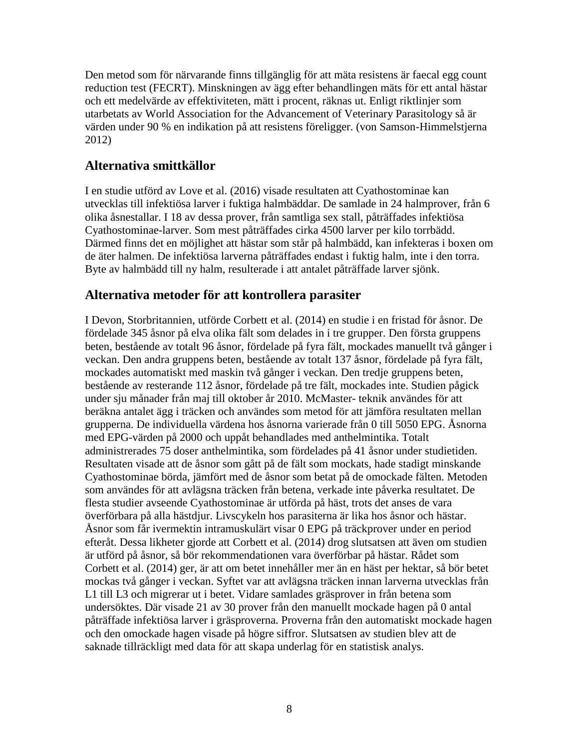Den metod som för närvarande finns tillgänglig för att mäta resistens är faecal egg count reduction test (FECRT). Minskningen av ägg efter behandlingen mäts för ett antal hästar och ett medelvärde av effektiviteten, mätt i procent, räknas ut. Enligt riktlinjer som utarbetats av World Association for the Advancement of Veterinary Parasitology så är värden under 90 % en indikation på att resistens föreligger. (von Samson-Himmelstjerna 2012)

#### <span id="page-9-0"></span>**Alternativa smittkällor**

I en studie utförd av Love et al. (2016) visade resultaten att Cyathostominae kan utvecklas till infektiösa larver i fuktiga halmbäddar. De samlade in 24 halmprover, från 6 olika åsnestallar. I 18 av dessa prover, från samtliga sex stall, påträffades infektiösa Cyathostominae-larver. Som mest påträffades cirka 4500 larver per kilo torrbädd. Därmed finns det en möjlighet att hästar som står på halmbädd, kan infekteras i boxen om de äter halmen. De infektiösa larverna påträffades endast i fuktig halm, inte i den torra. Byte av halmbädd till ny halm, resulterade i att antalet påträffade larver sjönk.

#### <span id="page-9-1"></span>**Alternativa metoder för att kontrollera parasiter**

I Devon, Storbritannien, utförde Corbett et al. (2014) en studie i en fristad för åsnor. De fördelade 345 åsnor på elva olika fält som delades in i tre grupper. Den första gruppens beten, bestående av totalt 96 åsnor, fördelade på fyra fält, mockades manuellt två gånger i veckan. Den andra gruppens beten, bestående av totalt 137 åsnor, fördelade på fyra fält, mockades automatiskt med maskin två gånger i veckan. Den tredje gruppens beten, bestående av resterande 112 åsnor, fördelade på tre fält, mockades inte. Studien pågick under sju månader från maj till oktober år 2010. McMaster- teknik användes för att beräkna antalet ägg i träcken och användes som metod för att jämföra resultaten mellan grupperna. De individuella värdena hos åsnorna varierade från 0 till 5050 EPG. Åsnorna med EPG-värden på 2000 och uppåt behandlades med anthelmintika. Totalt administrerades 75 doser anthelmintika, som fördelades på 41 åsnor under studietiden. Resultaten visade att de åsnor som gått på de fält som mockats, hade stadigt minskande Cyathostominae börda, jämfört med de åsnor som betat på de omockade fälten. Metoden som användes för att avlägsna träcken från betena, verkade inte påverka resultatet. De flesta studier avseende Cyathostominae är utförda på häst, trots det anses de vara överförbara på alla hästdjur. Livscykeln hos parasiterna är lika hos åsnor och hästar. Åsnor som får ivermektin intramuskulärt visar 0 EPG på träckprover under en period efteråt. Dessa likheter gjorde att Corbett et al. (2014) drog slutsatsen att även om studien är utförd på åsnor, så bör rekommendationen vara överförbar på hästar. Rådet som Corbett et al. (2014) ger, är att om betet innehåller mer än en häst per hektar, så bör betet mockas två gånger i veckan. Syftet var att avlägsna träcken innan larverna utvecklas från L1 till L3 och migrerar ut i betet. Vidare samlades gräsprover in från betena som undersöktes. Där visade 21 av 30 prover från den manuellt mockade hagen på 0 antal påträffade infektiösa larver i gräsproverna. Proverna från den automatiskt mockade hagen och den omockade hagen visade på högre siffror. Slutsatsen av studien blev att de saknade tillräckligt med data för att skapa underlag för en statistisk analys.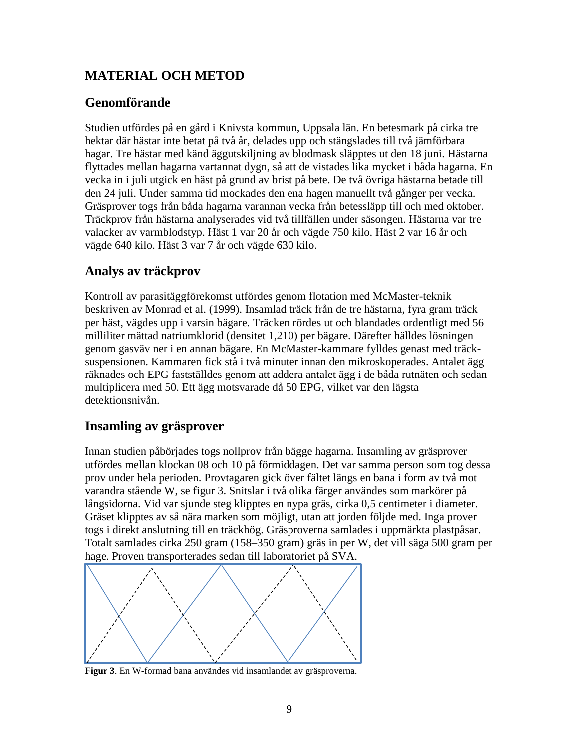## <span id="page-10-0"></span>**MATERIAL OCH METOD**

## <span id="page-10-1"></span>**Genomförande**

Studien utfördes på en gård i Knivsta kommun, Uppsala län. En betesmark på cirka tre hektar där hästar inte betat på två år, delades upp och stängslades till två jämförbara hagar. Tre hästar med känd äggutskiljning av blodmask släpptes ut den 18 juni. Hästarna flyttades mellan hagarna vartannat dygn, så att de vistades lika mycket i båda hagarna. En vecka in i juli utgick en häst på grund av brist på bete. De två övriga hästarna betade till den 24 juli. Under samma tid mockades den ena hagen manuellt två gånger per vecka. Gräsprover togs från båda hagarna varannan vecka från betessläpp till och med oktober. Träckprov från hästarna analyserades vid två tillfällen under säsongen. Hästarna var tre valacker av varmblodstyp. Häst 1 var 20 år och vägde 750 kilo. Häst 2 var 16 år och vägde 640 kilo. Häst 3 var 7 år och vägde 630 kilo.

#### <span id="page-10-2"></span>**Analys av träckprov**

Kontroll av parasitäggförekomst utfördes genom flotation med McMaster-teknik beskriven av Monrad et al. (1999). Insamlad träck från de tre hästarna, fyra gram träck per häst, vägdes upp i varsin bägare. Träcken rördes ut och blandades ordentligt med 56 milliliter mättad natriumklorid (densitet 1,210) per bägare. Därefter hälldes lösningen genom gasväv ner i en annan bägare. En McMaster-kammare fylldes genast med träcksuspensionen. Kammaren fick stå i två minuter innan den mikroskoperades. Antalet ägg räknades och EPG fastställdes genom att addera antalet ägg i de båda rutnäten och sedan multiplicera med 50. Ett ägg motsvarade då 50 EPG, vilket var den lägsta detektionsnivån.

#### <span id="page-10-3"></span>**Insamling av gräsprover**

Innan studien påbörjades togs nollprov från bägge hagarna. Insamling av gräsprover utfördes mellan klockan 08 och 10 på förmiddagen. Det var samma person som tog dessa prov under hela perioden. Provtagaren gick över fältet längs en bana i form av två mot varandra stående W, se figur 3. Snitslar i två olika färger användes som markörer på långsidorna. Vid var sjunde steg klipptes en nypa gräs, cirka 0,5 centimeter i diameter. Gräset klipptes av så nära marken som möjligt, utan att jorden följde med. Inga prover togs i direkt anslutning till en träckhög. Gräsproverna samlades i uppmärkta plastpåsar. Totalt samlades cirka 250 gram (158–350 gram) gräs in per W, det vill säga 500 gram per hage. Proven transporterades sedan till laboratoriet på SVA.



**Figur 3**. En W-formad bana användes vid insamlandet av gräsproverna.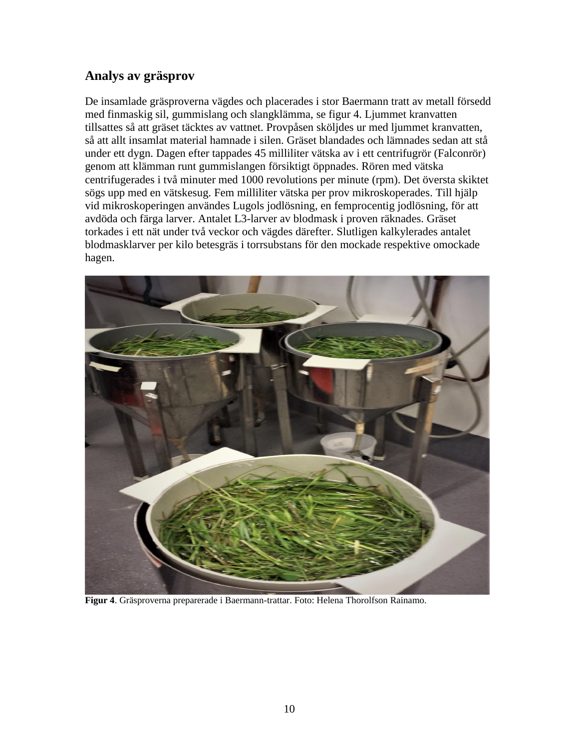#### <span id="page-11-0"></span>**Analys av gräsprov**

De insamlade gräsproverna vägdes och placerades i stor Baermann tratt av metall försedd med finmaskig sil, gummislang och slangklämma, se figur 4. Ljummet kranvatten tillsattes så att gräset täcktes av vattnet. Provpåsen sköljdes ur med ljummet kranvatten, så att allt insamlat material hamnade i silen. Gräset blandades och lämnades sedan att stå under ett dygn. Dagen efter tappades 45 milliliter vätska av i ett centrifugrör (Falconrör) genom att klämman runt gummislangen försiktigt öppnades. Rören med vätska centrifugerades i två minuter med 1000 revolutions per minute (rpm). Det översta skiktet sögs upp med en vätskesug. Fem milliliter vätska per prov mikroskoperades. Till hjälp vid mikroskoperingen användes Lugols jodlösning, en femprocentig jodlösning, för att avdöda och färga larver. Antalet L3-larver av blodmask i proven räknades. Gräset torkades i ett nät under två veckor och vägdes därefter. Slutligen kalkylerades antalet blodmasklarver per kilo betesgräs i torrsubstans för den mockade respektive omockade hagen.

<span id="page-11-1"></span>

**Figur 4**. Gräsproverna preparerade i Baermann-trattar. Foto: Helena Thorolfson Rainamo.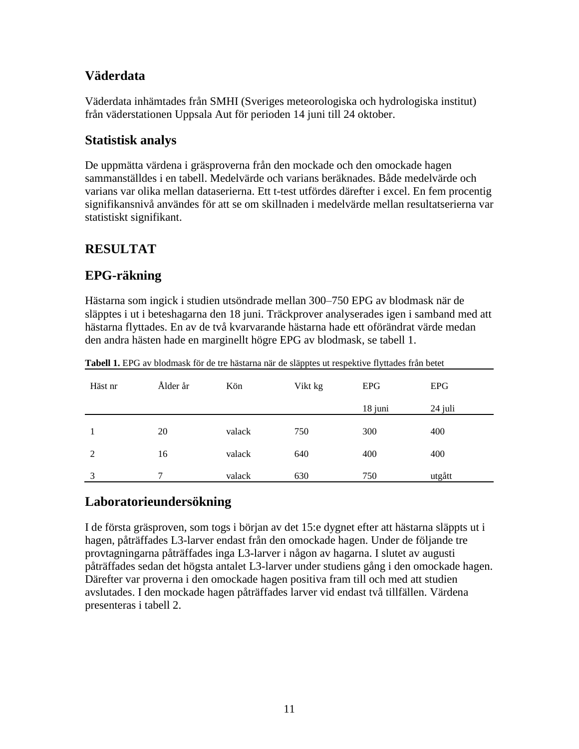#### **Väderdata**

Väderdata inhämtades från SMHI (Sveriges meteorologiska och hydrologiska institut) från väderstationen Uppsala Aut för perioden 14 juni till 24 oktober.

#### <span id="page-12-0"></span>**Statistisk analys**

De uppmätta värdena i gräsproverna från den mockade och den omockade hagen sammanställdes i en tabell. Medelvärde och varians beräknades. Både medelvärde och varians var olika mellan dataserierna. Ett t-test utfördes därefter i excel. En fem procentig signifikansnivå användes för att se om skillnaden i medelvärde mellan resultatserierna var statistiskt signifikant.

## <span id="page-12-1"></span>**RESULTAT**

## <span id="page-12-2"></span>**EPG-räkning**

Hästarna som ingick i studien utsöndrade mellan 300–750 EPG av blodmask när de släpptes i ut i beteshagarna den 18 juni. Träckprover analyserades igen i samband med att hästarna flyttades. En av de två kvarvarande hästarna hade ett oförändrat värde medan den andra hästen hade en marginellt högre EPG av blodmask, se tabell 1.

| Häst nr        | Ålder år      | Kön    | Vikt kg | <b>EPG</b> | <b>EPG</b> |
|----------------|---------------|--------|---------|------------|------------|
|                |               |        |         | 18 juni    | 24 juli    |
|                | 20            | valack | 750     | 300        | 400        |
| $\overline{2}$ | 16            | valack | 640     | 400        | 400        |
| 3              | $\mathcal{I}$ | valack | 630     | 750        | utgått     |

**Tabell 1.** EPG av blodmask för de tre hästarna när de släpptes ut respektive flyttades från betet

#### <span id="page-12-3"></span>**Laboratorieundersökning**

I de första gräsproven, som togs i början av det 15:e dygnet efter att hästarna släppts ut i hagen, påträffades L3-larver endast från den omockade hagen. Under de följande tre provtagningarna påträffades inga L3-larver i någon av hagarna. I slutet av augusti påträffades sedan det högsta antalet L3-larver under studiens gång i den omockade hagen. Därefter var proverna i den omockade hagen positiva fram till och med att studien avslutades. I den mockade hagen påträffades larver vid endast två tillfällen. Värdena presenteras i tabell 2.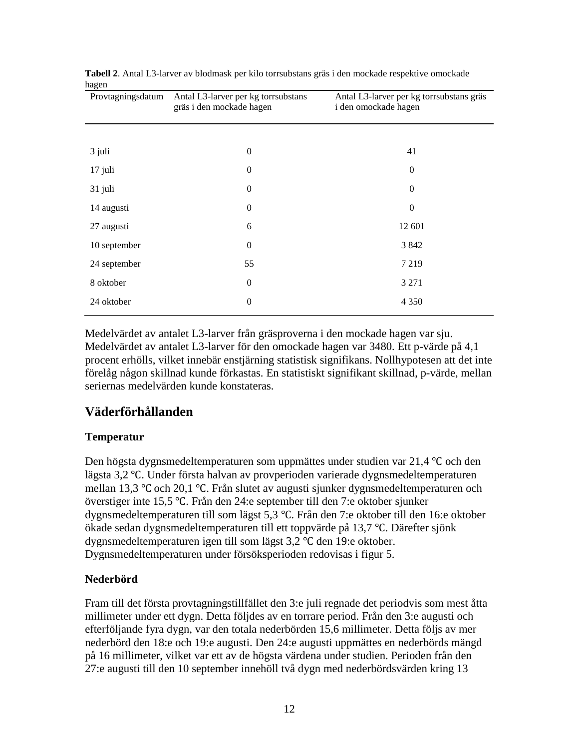| $\mathfrak{u}_{\mathcal{S}}$ ur<br>Provtagningsdatum | Antal L3-larver per kg torrsubstans<br>gräs i den mockade hagen | Antal L3-larver per kg torrsubstans gräs<br>i den omockade hagen |
|------------------------------------------------------|-----------------------------------------------------------------|------------------------------------------------------------------|
|                                                      |                                                                 |                                                                  |
| 3 juli                                               | $\boldsymbol{0}$                                                | 41                                                               |
| 17 juli                                              | $\boldsymbol{0}$                                                | $\mathbf{0}$                                                     |
| 31 juli                                              | $\boldsymbol{0}$                                                | $\mathbf{0}$                                                     |
| 14 augusti                                           | $\boldsymbol{0}$                                                | $\boldsymbol{0}$                                                 |
| 27 augusti                                           | 6                                                               | 12 601                                                           |
| 10 september                                         | $\boldsymbol{0}$                                                | 3 8 4 2                                                          |
| 24 september                                         | 55                                                              | 7 2 1 9                                                          |
| 8 oktober                                            | $\boldsymbol{0}$                                                | 3 2 7 1                                                          |
| 24 oktober                                           | $\boldsymbol{0}$                                                | 4 3 5 0                                                          |

**Tabell 2**. Antal L3-larver av blodmask per kilo torrsubstans gräs i den mockade respektive omockade hagen

Medelvärdet av antalet L3-larver från gräsproverna i den mockade hagen var sju. Medelvärdet av antalet L3-larver för den omockade hagen var 3480. Ett p-värde på 4,1 procent erhölls, vilket innebär enstjärning statistisk signifikans. Nollhypotesen att det inte förelåg någon skillnad kunde förkastas. En statistiskt signifikant skillnad, p-värde, mellan seriernas medelvärden kunde konstateras.

#### <span id="page-13-0"></span>**Väderförhållanden**

#### **Temperatur**

Den högsta dygnsmedeltemperaturen som uppmättes under studien var 21,4 ℃ och den lägsta 3,2 ℃. Under första halvan av provperioden varierade dygnsmedeltemperaturen mellan 13,3 ℃ och 20,1 ℃. Från slutet av augusti sjunker dygnsmedeltemperaturen och överstiger inte 15,5 ℃. Från den 24:e september till den 7:e oktober sjunker dygnsmedeltemperaturen till som lägst 5,3 ℃. Från den 7:e oktober till den 16:e oktober ökade sedan dygnsmedeltemperaturen till ett toppvärde på 13,7 ℃. Därefter sjönk dygnsmedeltemperaturen igen till som lägst 3,2 ℃ den 19:e oktober. Dygnsmedeltemperaturen under försöksperioden redovisas i figur 5.

#### **Nederbörd**

Fram till det första provtagningstillfället den 3:e juli regnade det periodvis som mest åtta millimeter under ett dygn. Detta följdes av en torrare period. Från den 3:e augusti och efterföljande fyra dygn, var den totala nederbörden 15,6 millimeter. Detta följs av mer nederbörd den 18:e och 19:e augusti. Den 24:e augusti uppmättes en nederbörds mängd på 16 millimeter, vilket var ett av de högsta värdena under studien. Perioden från den 27:e augusti till den 10 september innehöll två dygn med nederbördsvärden kring 13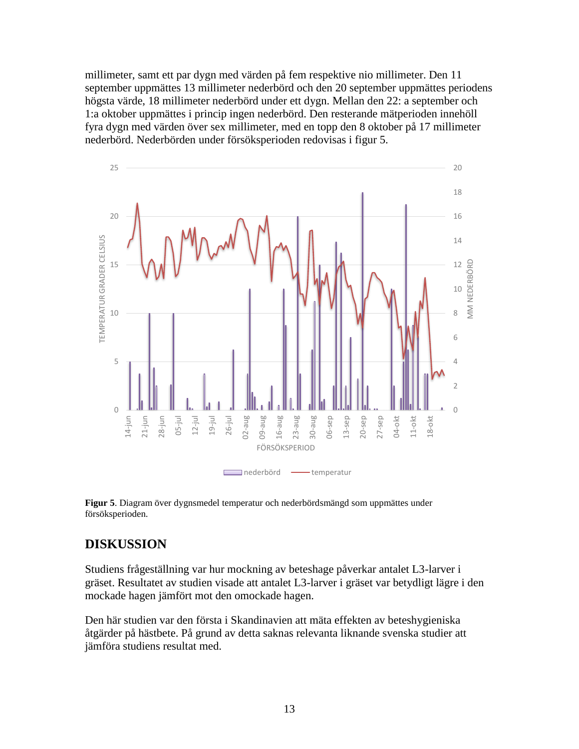millimeter, samt ett par dygn med värden på fem respektive nio millimeter. Den 11 september uppmättes 13 millimeter nederbörd och den 20 september uppmättes periodens högsta värde, 18 millimeter nederbörd under ett dygn. Mellan den 22: a september och 1:a oktober uppmättes i princip ingen nederbörd. Den resterande mätperioden innehöll fyra dygn med värden över sex millimeter, med en topp den 8 oktober på 17 millimeter nederbörd. Nederbörden under försöksperioden redovisas i figur 5.



**Figur 5**. Diagram över dygnsmedel temperatur och nederbördsmängd som uppmättes under försöksperioden.

## <span id="page-14-0"></span>**DISKUSSION**

Studiens frågeställning var hur mockning av beteshage påverkar antalet L3-larver i gräset. Resultatet av studien visade att antalet L3-larver i gräset var betydligt lägre i den mockade hagen jämfört mot den omockade hagen.

Den här studien var den första i Skandinavien att mäta effekten av beteshygieniska åtgärder på hästbete. På grund av detta saknas relevanta liknande svenska studier att jämföra studiens resultat med.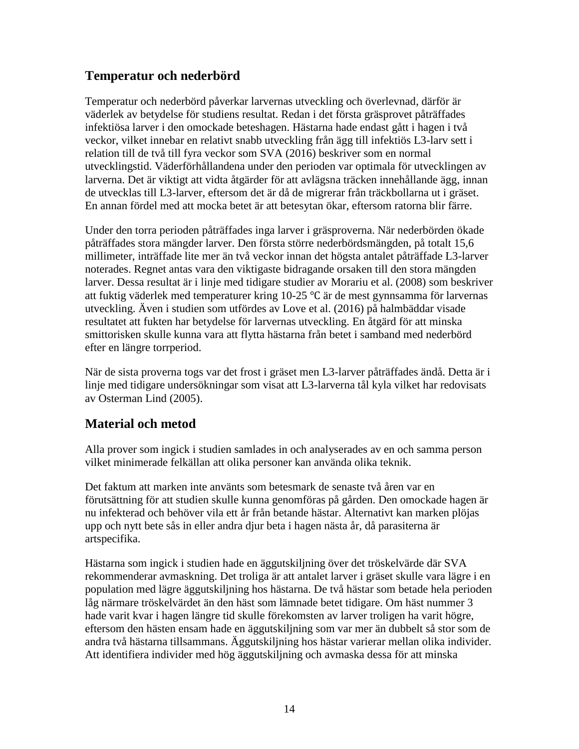## <span id="page-15-0"></span>**Temperatur och nederbörd**

Temperatur och nederbörd påverkar larvernas utveckling och överlevnad, därför är väderlek av betydelse för studiens resultat. Redan i det första gräsprovet påträffades infektiösa larver i den omockade beteshagen. Hästarna hade endast gått i hagen i två veckor, vilket innebar en relativt snabb utveckling från ägg till infektiös L3-larv sett i relation till de två till fyra veckor som SVA (2016) beskriver som en normal utvecklingstid. Väderförhållandena under den perioden var optimala för utvecklingen av larverna. Det är viktigt att vidta åtgärder för att avlägsna träcken innehållande ägg, innan de utvecklas till L3-larver, eftersom det är då de migrerar från träckbollarna ut i gräset. En annan fördel med att mocka betet är att betesytan ökar, eftersom ratorna blir färre.

Under den torra perioden påträffades inga larver i gräsproverna. När nederbörden ökade påträffades stora mängder larver. Den första större nederbördsmängden, på totalt 15,6 millimeter, inträffade lite mer än två veckor innan det högsta antalet påträffade L3-larver noterades. Regnet antas vara den viktigaste bidragande orsaken till den stora mängden larver. Dessa resultat är i linje med tidigare studier av Morariu et al. (2008) som beskriver att fuktig väderlek med temperaturer kring 10-25 ℃ är de mest gynnsamma för larvernas utveckling. Även i studien som utfördes av Love et al. (2016) på halmbäddar visade resultatet att fukten har betydelse för larvernas utveckling. En åtgärd för att minska smittorisken skulle kunna vara att flytta hästarna från betet i samband med nederbörd efter en längre torrperiod.

När de sista proverna togs var det frost i gräset men L3-larver påträffades ändå. Detta är i linje med tidigare undersökningar som visat att L3-larverna tål kyla vilket har redovisats av Osterman Lind (2005).

#### <span id="page-15-1"></span>**Material och metod**

Alla prover som ingick i studien samlades in och analyserades av en och samma person vilket minimerade felkällan att olika personer kan använda olika teknik.

Det faktum att marken inte använts som betesmark de senaste två åren var en förutsättning för att studien skulle kunna genomföras på gården. Den omockade hagen är nu infekterad och behöver vila ett år från betande hästar. Alternativt kan marken plöjas upp och nytt bete sås in eller andra djur beta i hagen nästa år, då parasiterna är artspecifika.

Hästarna som ingick i studien hade en äggutskiljning över det tröskelvärde där SVA rekommenderar avmaskning. Det troliga är att antalet larver i gräset skulle vara lägre i en population med lägre äggutskiljning hos hästarna. De två hästar som betade hela perioden låg närmare tröskelvärdet än den häst som lämnade betet tidigare. Om häst nummer 3 hade varit kvar i hagen längre tid skulle förekomsten av larver troligen ha varit högre, eftersom den hästen ensam hade en äggutskiljning som var mer än dubbelt så stor som de andra två hästarna tillsammans. Äggutskiljning hos hästar varierar mellan olika individer. Att identifiera individer med hög äggutskiljning och avmaska dessa för att minska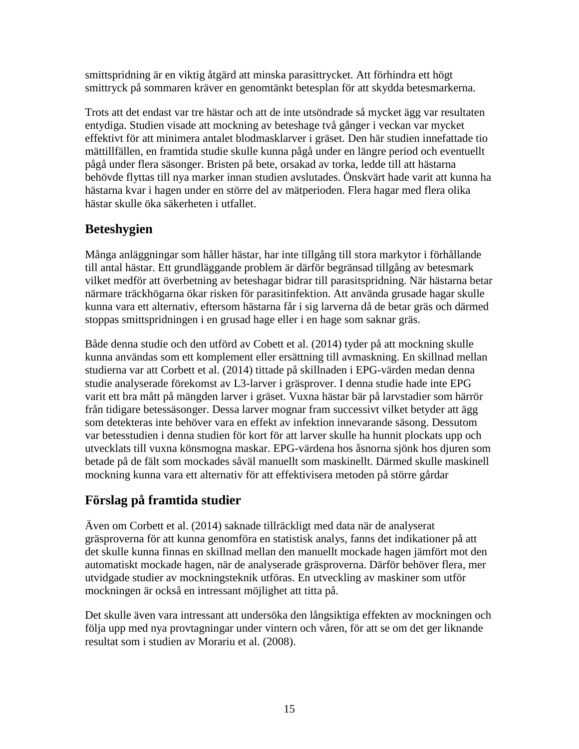smittspridning är en viktig åtgärd att minska parasittrycket. Att förhindra ett högt smittryck på sommaren kräver en genomtänkt betesplan för att skydda betesmarkerna.

Trots att det endast var tre hästar och att de inte utsöndrade så mycket ägg var resultaten entydiga. Studien visade att mockning av beteshage två gånger i veckan var mycket effektivt för att minimera antalet blodmasklarver i gräset. Den här studien innefattade tio mättillfällen, en framtida studie skulle kunna pågå under en längre period och eventuellt pågå under flera säsonger. Bristen på bete, orsakad av torka, ledde till att hästarna behövde flyttas till nya marker innan studien avslutades. Önskvärt hade varit att kunna ha hästarna kvar i hagen under en större del av mätperioden. Flera hagar med flera olika hästar skulle öka säkerheten i utfallet.

## <span id="page-16-0"></span>**Beteshygien**

Många anläggningar som håller hästar, har inte tillgång till stora markytor i förhållande till antal hästar. Ett grundläggande problem är därför begränsad tillgång av betesmark vilket medför att överbetning av beteshagar bidrar till parasitspridning. När hästarna betar närmare träckhögarna ökar risken för parasitinfektion. Att använda grusade hagar skulle kunna vara ett alternativ, eftersom hästarna får i sig larverna då de betar gräs och därmed stoppas smittspridningen i en grusad hage eller i en hage som saknar gräs.

Både denna studie och den utförd av Cobett et al. (2014) tyder på att mockning skulle kunna användas som ett komplement eller ersättning till avmaskning. En skillnad mellan studierna var att Corbett et al. (2014) tittade på skillnaden i EPG-värden medan denna studie analyserade förekomst av L3-larver i gräsprover. I denna studie hade inte EPG varit ett bra mått på mängden larver i gräset. Vuxna hästar bär på larvstadier som härrör från tidigare betessäsonger. Dessa larver mognar fram successivt vilket betyder att ägg som detekteras inte behöver vara en effekt av infektion innevarande säsong. Dessutom var betesstudien i denna studien för kort för att larver skulle ha hunnit plockats upp och utvecklats till vuxna könsmogna maskar. EPG-värdena hos åsnorna sjönk hos djuren som betade på de fält som mockades såväl manuellt som maskinellt. Därmed skulle maskinell mockning kunna vara ett alternativ för att effektivisera metoden på större gårdar

# <span id="page-16-1"></span>**Förslag på framtida studier**

Även om Corbett et al. (2014) saknade tillräckligt med data när de analyserat gräsproverna för att kunna genomföra en statistisk analys, fanns det indikationer på att det skulle kunna finnas en skillnad mellan den manuellt mockade hagen jämfört mot den automatiskt mockade hagen, när de analyserade gräsproverna. Därför behöver flera, mer utvidgade studier av mockningsteknik utföras. En utveckling av maskiner som utför mockningen är också en intressant möjlighet att titta på.

Det skulle även vara intressant att undersöka den långsiktiga effekten av mockningen och följa upp med nya provtagningar under vintern och våren, för att se om det ger liknande resultat som i studien av Morariu et al. (2008).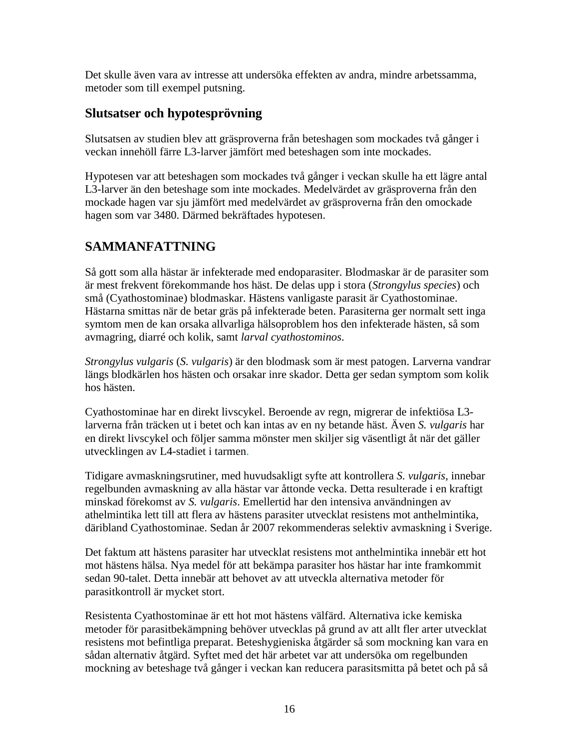Det skulle även vara av intresse att undersöka effekten av andra, mindre arbetssamma, metoder som till exempel putsning.

#### <span id="page-17-0"></span>**Slutsatser och hypotesprövning**

Slutsatsen av studien blev att gräsproverna från beteshagen som mockades två gånger i veckan innehöll färre L3-larver jämfört med beteshagen som inte mockades.

Hypotesen var att beteshagen som mockades två gånger i veckan skulle ha ett lägre antal L3-larver än den beteshage som inte mockades. Medelvärdet av gräsproverna från den mockade hagen var sju jämfört med medelvärdet av gräsproverna från den omockade hagen som var 3480. Därmed bekräftades hypotesen.

# <span id="page-17-1"></span>**SAMMANFATTNING**

Så gott som alla hästar är infekterade med endoparasiter. Blodmaskar är de parasiter som är mest frekvent förekommande hos häst. De delas upp i stora (*Strongylus species*) och små (Cyathostominae) blodmaskar. Hästens vanligaste parasit är Cyathostominae. Hästarna smittas när de betar gräs på infekterade beten. Parasiterna ger normalt sett inga symtom men de kan orsaka allvarliga hälsoproblem hos den infekterade hästen, så som avmagring, diarré och kolik, samt *larval cyathostominos*.

*Strongylus vulgaris* (*S. vulgaris*) är den blodmask som är mest patogen. Larverna vandrar längs blodkärlen hos hästen och orsakar inre skador. Detta ger sedan symptom som kolik hos hästen.

Cyathostominae har en direkt livscykel. Beroende av regn, migrerar de infektiösa L3 larverna från träcken ut i betet och kan intas av en ny betande häst. Även *S. vulgaris* har en direkt livscykel och följer samma mönster men skiljer sig väsentligt åt när det gäller utvecklingen av L4-stadiet i tarmen.

Tidigare avmaskningsrutiner, med huvudsakligt syfte att kontrollera *S. vulgaris*, innebar regelbunden avmaskning av alla hästar var åttonde vecka. Detta resulterade i en kraftigt minskad förekomst av *S. vulgaris*. Emellertid har den intensiva användningen av athelmintika lett till att flera av hästens parasiter utvecklat resistens mot anthelmintika, däribland Cyathostominae. Sedan år 2007 rekommenderas selektiv avmaskning i Sverige.

Det faktum att hästens parasiter har utvecklat resistens mot anthelmintika innebär ett hot mot hästens hälsa. Nya medel för att bekämpa parasiter hos hästar har inte framkommit sedan 90-talet. Detta innebär att behovet av att utveckla alternativa metoder för parasitkontroll är mycket stort.

Resistenta Cyathostominae är ett hot mot hästens välfärd. Alternativa icke kemiska metoder för parasitbekämpning behöver utvecklas på grund av att allt fler arter utvecklat resistens mot befintliga preparat. Beteshygieniska åtgärder så som mockning kan vara en sådan alternativ åtgärd. Syftet med det här arbetet var att undersöka om regelbunden mockning av beteshage två gånger i veckan kan reducera parasitsmitta på betet och på så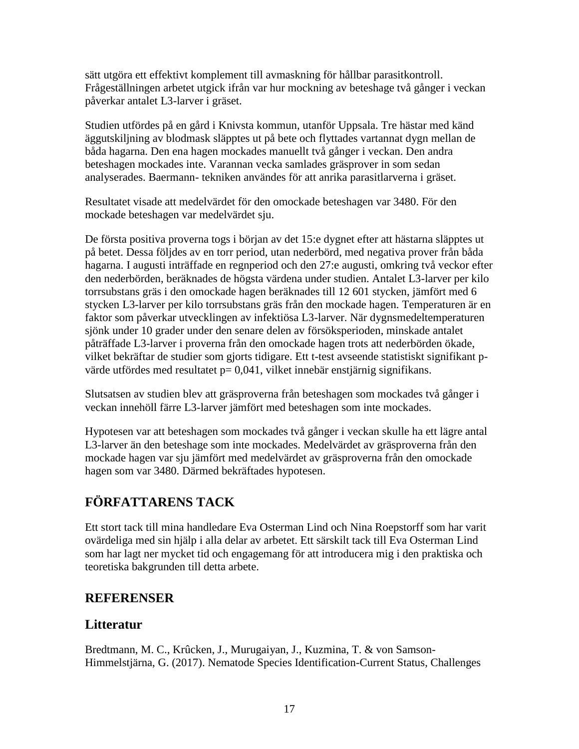sätt utgöra ett effektivt komplement till avmaskning för hållbar parasitkontroll. Frågeställningen arbetet utgick ifrån var hur mockning av beteshage två gånger i veckan påverkar antalet L3-larver i gräset.

Studien utfördes på en gård i Knivsta kommun, utanför Uppsala. Tre hästar med känd äggutskiljning av blodmask släpptes ut på bete och flyttades vartannat dygn mellan de båda hagarna. Den ena hagen mockades manuellt två gånger i veckan. Den andra beteshagen mockades inte. Varannan vecka samlades gräsprover in som sedan analyserades. Baermann- tekniken användes för att anrika parasitlarverna i gräset.

Resultatet visade att medelvärdet för den omockade beteshagen var 3480. För den mockade beteshagen var medelvärdet sju.

De första positiva proverna togs i början av det 15:e dygnet efter att hästarna släpptes ut på betet. Dessa följdes av en torr period, utan nederbörd, med negativa prover från båda hagarna. I augusti inträffade en regnperiod och den 27:e augusti, omkring två veckor efter den nederbörden, beräknades de högsta värdena under studien. Antalet L3-larver per kilo torrsubstans gräs i den omockade hagen beräknades till 12 601 stycken, jämfört med 6 stycken L3-larver per kilo torrsubstans gräs från den mockade hagen. Temperaturen är en faktor som påverkar utvecklingen av infektiösa L3-larver. När dygnsmedeltemperaturen sjönk under 10 grader under den senare delen av försöksperioden, minskade antalet påträffade L3-larver i proverna från den omockade hagen trots att nederbörden ökade, vilket bekräftar de studier som gjorts tidigare. Ett t-test avseende statistiskt signifikant pvärde utfördes med resultatet  $p= 0.041$ , vilket innebär enstjärnig signifikans.

Slutsatsen av studien blev att gräsproverna från beteshagen som mockades två gånger i veckan innehöll färre L3-larver jämfört med beteshagen som inte mockades.

Hypotesen var att beteshagen som mockades två gånger i veckan skulle ha ett lägre antal L3-larver än den beteshage som inte mockades. Medelvärdet av gräsproverna från den mockade hagen var sju jämfört med medelvärdet av gräsproverna från den omockade hagen som var 3480. Därmed bekräftades hypotesen.

# <span id="page-18-0"></span>**FÖRFATTARENS TACK**

Ett stort tack till mina handledare Eva Osterman Lind och Nina Roepstorff som har varit ovärdeliga med sin hjälp i alla delar av arbetet. Ett särskilt tack till Eva Osterman Lind som har lagt ner mycket tid och engagemang för att introducera mig i den praktiska och teoretiska bakgrunden till detta arbete.

#### <span id="page-18-1"></span>**REFERENSER**

#### <span id="page-18-2"></span>**Litteratur**

Bredtmann, M. C., Krûcken, J., Murugaiyan, J., Kuzmina, T. & von Samson-Himmelstjärna, G. (2017). Nematode Species Identification-Current Status, Challenges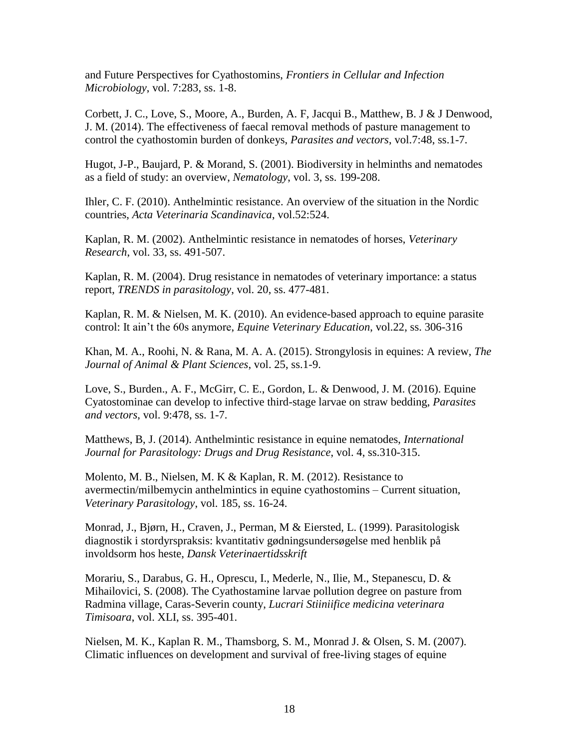and Future Perspectives for Cyathostomins, *Frontiers in Cellular and Infection Microbiology*, vol. 7:283, ss. 1-8.

Corbett, J. C., Love, S., Moore, A., Burden, A. F, Jacqui B., Matthew, B. J & J Denwood, J. M. (2014). The effectiveness of faecal removal methods of pasture management to control the cyathostomin burden of donkeys, *Parasites and vectors*, vol.7:48, ss.1-7.

Hugot, J-P., Baujard, P. & Morand, S. (2001). Biodiversity in helminths and nematodes as a field of study: an overview, *Nematology*, vol. 3, ss. 199-208.

Ihler, C. F. (2010). Anthelmintic resistance. An overview of the situation in the Nordic countries, *Acta Veterinaria Scandinavica*, vol.52:524.

Kaplan, R. M. (2002). Anthelmintic resistance in nematodes of horses, *Veterinary Research*, vol. 33, ss. 491-507.

Kaplan, R. M. (2004). Drug resistance in nematodes of veterinary importance: a status report, *TRENDS in parasitology*, vol. 20, ss. 477-481.

Kaplan, R. M. & Nielsen, M. K. (2010). An evidence-based approach to equine parasite control: It ain't the 60s anymore, *Equine Veterinary Education*, vol.22, ss. 306-316

Khan, M. A., Roohi, N. & Rana, M. A. A. (2015). Strongylosis in equines: A review, *The Journal of Animal & Plant Sciences*, vol. 25, ss.1-9.

Love, S., Burden., A. F., McGirr, C. E., Gordon, L. & Denwood, J. M. (2016). Equine Cyatostominae can develop to infective third-stage larvae on straw bedding, *Parasites and vectors*, vol. 9:478, ss. 1-7.

Matthews, B, J. (2014). Anthelmintic resistance in equine nematodes, *International Journal for Parasitology: Drugs and Drug Resistance*, vol. 4, ss.310-315.

Molento, M. B., Nielsen, M. K & Kaplan, R. M. (2012). Resistance to avermectin/milbemycin anthelmintics in equine cyathostomins – Current situation, *Veterinary Parasitology*, vol. 185, ss. 16-24.

Monrad, J., Bjørn, H., Craven, J., Perman, M & Eiersted, L. (1999). Parasitologisk diagnostik i stordyrspraksis: kvantitativ gødningsundersøgelse med henblik på involdsorm hos heste, *Dansk Veterinaertidsskrift*

Morariu, S., Darabus, G. H., Oprescu, I., Mederle, N., Ilie, M., Stepanescu, D. & Mihailovici, S. (2008). The Cyathostamine larvae pollution degree on pasture from Radmina village, Caras-Severin county, *Lucrari Stiiniifice medicina veterinara Timisoara*, vol. XLI, ss. 395-401.

Nielsen, M. K., Kaplan R. M., Thamsborg, S. M., Monrad J. & Olsen, S. M. (2007). Climatic influences on development and survival of free-living stages of equine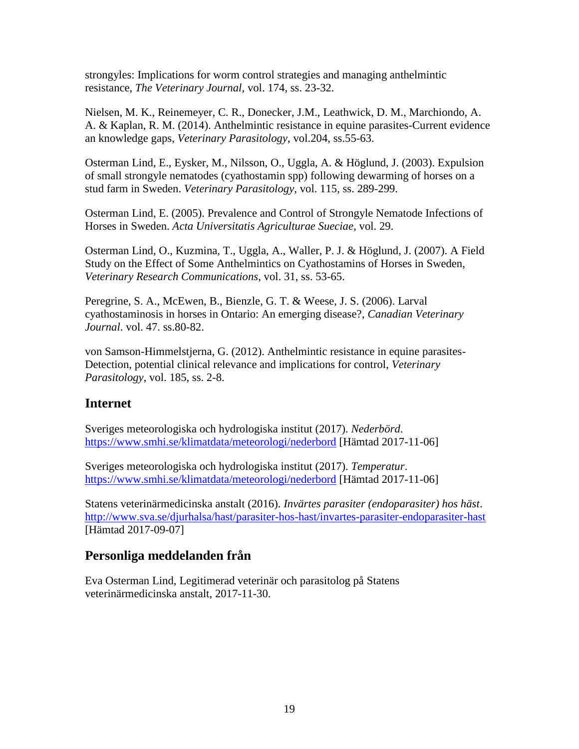strongyles: Implications for worm control strategies and managing anthelmintic resistance, *The Veterinary Journal*, vol. 174, ss. 23-32.

Nielsen, M. K., Reinemeyer, C. R., Donecker, J.M., Leathwick, D. M., Marchiondo, A. A. & Kaplan, R. M. (2014). Anthelmintic resistance in equine parasites-Current evidence an knowledge gaps, *Veterinary Parasitology*, vol.204, ss.55-63.

Osterman Lind, E., Eysker, M., Nilsson, O., Uggla, A. & Höglund, J. (2003). Expulsion of small strongyle nematodes (cyathostamin spp) following dewarming of horses on a stud farm in Sweden. *Veterinary Parasitology*, vol. 115, ss. 289-299.

Osterman Lind, E. (2005). Prevalence and Control of Strongyle Nematode Infections of Horses in Sweden. *Acta Universitatis Agriculturae Sueciae*, vol. 29.

Osterman Lind, O., Kuzmina, T., Uggla, A., Waller, P. J. & Höglund, J. (2007). A Field Study on the Effect of Some Anthelmintics on Cyathostamins of Horses in Sweden, *Veterinary Research Communications*, vol. 31, ss. 53-65.

Peregrine, S. A., McEwen, B., Bienzle, G. T. & Weese, J. S. (2006). Larval cyathostaminosis in horses in Ontario: An emerging disease?, *Canadian Veterinary Journal*. vol. 47. ss.80-82.

von Samson-Himmelstjerna, G. (2012). Anthelmintic resistance in equine parasites-Detection, potential clinical relevance and implications for control, *Veterinary Parasitology*, vol. 185, ss. 2-8.

#### <span id="page-20-0"></span>**Internet**

Sveriges meteorologiska och hydrologiska institut (2017). *Nederbörd*. <https://www.smhi.se/klimatdata/meteorologi/nederbord> [Hämtad 2017-11-06]

Sveriges meteorologiska och hydrologiska institut (2017). *Temperatur*. <https://www.smhi.se/klimatdata/meteorologi/nederbord> [Hämtad 2017-11-06]

Statens veterinärmedicinska anstalt (2016). *Invärtes parasiter (endoparasiter) hos häst*. <http://www.sva.se/djurhalsa/hast/parasiter-hos-hast/invartes-parasiter-endoparasiter-hast> [Hämtad 2017-09-07]

#### <span id="page-20-1"></span>**Personliga meddelanden från**

Eva Osterman Lind, Legitimerad veterinär och parasitolog på Statens veterinärmedicinska anstalt, 2017-11-30.